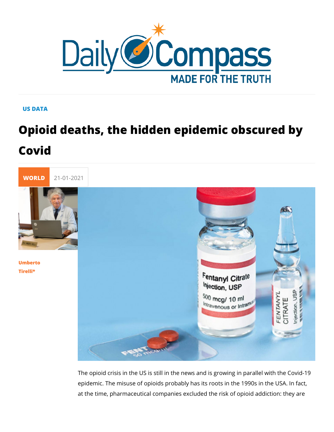## US DATA

## Opioid deaths, the hidden epidemic ob Covid



## [Umbert](/en/umberto-tirelli)o [Tirel](/en/umberto-tirelli)li\*

The opioid crisis in the US is still in the news and is growing epidemic. The misuse of opioids probably has its roots in the at the time, pharmaceutical companies excluded the risk of op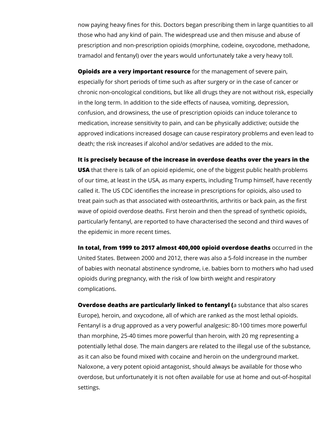now paying heavy fines for this. Doctors began prescribing them in large quantities to all those who had any kind of pain. The widespread use and then misuse and abuse of prescription and non-prescription opioids (morphine, codeine, oxycodone, methadone, tramadol and fentanyl) over the years would unfortunately take a very heavy toll.

**Opioids are a very important resource** for the management of severe pain, especially for short periods of time such as after surgery or in the case of cancer or chronic non-oncological conditions, but like all drugs they are not without risk, especially in the long term. In addition to the side effects of nausea, vomiting, depression, confusion, and drowsiness, the use of prescription opioids can induce tolerance to medication, increase sensitivity to pain, and can be physically addictive; outside the approved indications increased dosage can cause respiratory problems and even lead to death; the risk increases if alcohol and/or sedatives are added to the mix.

**It is precisely because of the increase in overdose deaths over the years in the** 

**USA** that there is talk of an opioid epidemic, one of the biggest public health problems of our time, at least in the USA, as many experts, including Trump himself, have recently called it. The US CDC identifies the increase in prescriptions for opioids, also used to treat pain such as that associated with osteoarthritis, arthritis or back pain, as the first wave of opioid overdose deaths. First heroin and then the spread of synthetic opioids, particularly fentanyl, are reported to have characterised the second and third waves of the epidemic in more recent times.

**In total, from 1999 to 2017 almost 400,000 opioid overdose deaths** occurred in the United States. Between 2000 and 2012, there was also a 5-fold increase in the number of babies with neonatal abstinence syndrome, i.e. babies born to mothers who had used opioids during pregnancy, with the risk of low birth weight and respiratory complications.

**Overdose deaths are particularly linked to fentanyl (**a substance that also scares Europe), heroin, and oxycodone, all of which are ranked as the most lethal opioids. Fentanyl is a drug approved as a very powerful analgesic: 80-100 times more powerful than morphine, 25-40 times more powerful than heroin, with 20 mg representing a potentially lethal dose. The main dangers are related to the illegal use of the substance, as it can also be found mixed with cocaine and heroin on the underground market. Naloxone, a very potent opioid antagonist, should always be available for those who overdose, but unfortunately it is not often available for use at home and out-of-hospital settings.